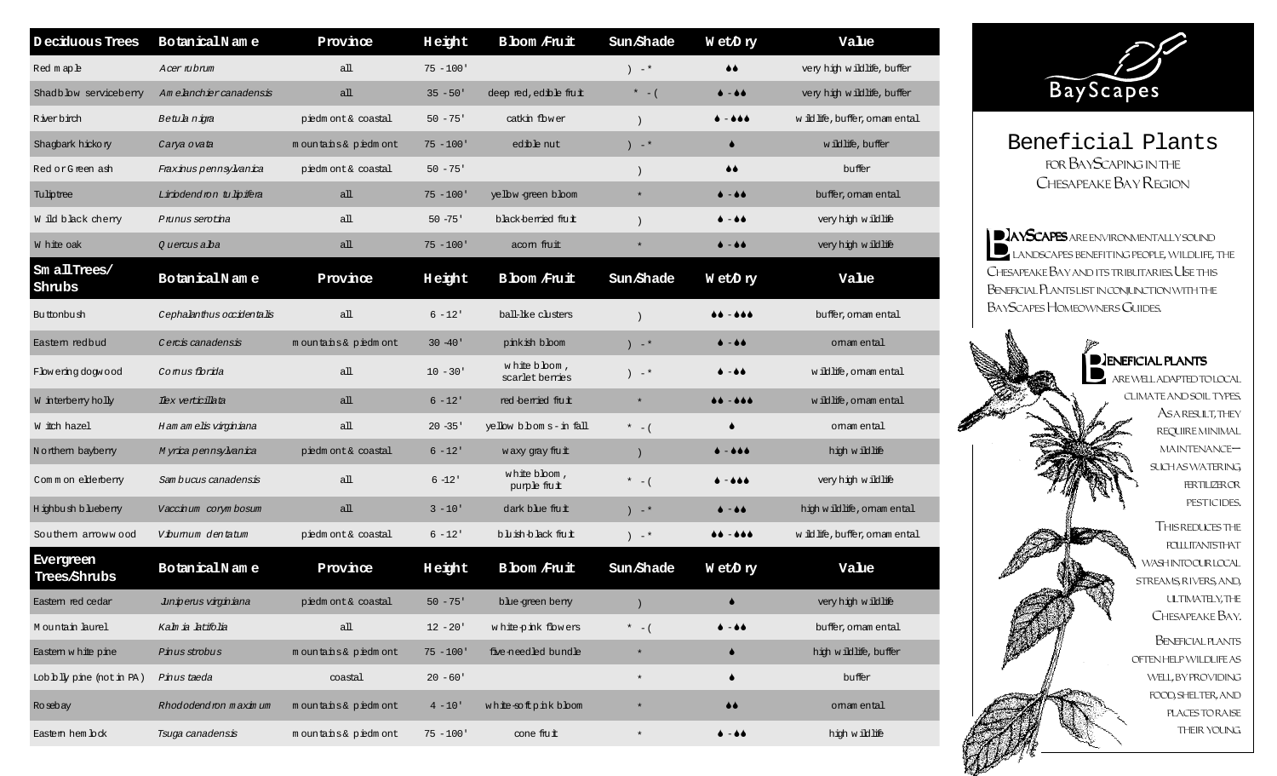| Deciduous Trees                  | BotanicalName             | Province            | Height       | <b>B</b> bom Fruit              | Sun Shade | WetDry                                 | Value                        |
|----------------------------------|---------------------------|---------------------|--------------|---------------------------------|-----------|----------------------------------------|------------------------------|
| Redmaphe                         | Acer mbnum                | all                 | $75 - 100'$  |                                 | $)$ $-$ * | $\bullet\bullet$                       | very high wildlife, buffer   |
| Shadb bw servicebeny             | Am elanchier canadensis   | $a$ ll              | $35 - 50'$   | deep red, edible fruit          | $* - ($   | $\bullet$ $ \bullet$ $\bullet$         | very high wildlife, buffer   |
| R iver birch                     | Betuk niga                | piedmont& coastal   | $50 - 75$    | catkin flower                   |           | 6 - 6 6 6                              | wildlife, buffer, omam ental |
| Shagbark hickory                 | Carya ovata               | mountains& piedmont | $75 - 100$ ' | edible nut                      | $)$ $-$ * | $\bullet$                              | w iblife, buffer             |
| Red or Green ash                 | Fraxinus pennsylvanica    | piedmont& coastal   | $50 - 75$    |                                 |           | $\bullet\bullet$                       | buffer                       |
| Tuliptree                        | Liriodendron tu lipifera  | аll                 | $75 - 100'$  | yelbw-green bloom               | $\star$   | $\bullet$ $ \bullet$ $\bullet$         | buffer, omam ental           |
| W ild black cherry               | Prunus serotina           | аll                 | $50 - 75$    | black-berried finut             |           | $\bullet$ $ \bullet$ $\bullet$         | very high wildlife           |
| W hite oak                       | 0 uercus alba             | all                 | $75 - 100$ ' | acom fruit                      | $\star$   | $\bullet$ $ \bullet$ $\bullet$         | very high wildlife           |
| Sm allTrees/<br>Shrubs           | BotanicalName             | Province            | Height       | <b>B</b> bom Fruit              | Sun Shade | WetDry                                 | Value                        |
| Buttonbush                       | Cephalanthus occidentalis | аll                 | $6 - 12$     | ball-like clusters              |           | -000<br>66.                            | buffer, oman ental           |
| Eastem redbud                    | Cercis canadensis         | mountains& piedmont | $30 - 40$    | pinkish bloom                   | $)$ $-$ * | $\bullet$ $ \bullet$ $\bullet$         | omam ental                   |
| Flow ering dogwood               | Comus florida             | аll                 | $10 - 30'$   | white bloom,<br>scarlet berries | $) - *$   | ۰<br>-66                               | wildlife, omamental          |
| W interberry holly               | Ilex verticillata         | аll                 | $6 - 12'$    | red-berried fruit               | $\star$   | $\bullet\bullet-\bullet\bullet\bullet$ | wildlife, omamental          |
| W itch hazel                     | H am am elis virginiana   | all                 | $20 - 35'$   | yellow bboms-in fall            | $* - ($   | ▲                                      | omam ental                   |
| Northern bayberry                | Myrica pennsylvanica      | piedmont& coastal   | $6 - 12$     | waxy gray fru $\, {\bf t}$      | $\lambda$ | ♦ – ♦♦♦                                | high wildlife                |
| Common elderberry                | Sam bucus canadensis      | аll                 | $6 - 12'$    | white bloom,<br>purple fruit    | $* - ($   | -666                                   | very high wildlife           |
| Highbush bluebenry               | Vaccinum corym bosum      | аll                 | $3 - 10'$    | dark blue fruit                 | $) - *$   | $\bullet$ $ \bullet$ $\bullet$         | high wildlife, omam ental    |
| Southem amowwood                 | Vibumum dentatum          | piedmont& coastal   | $6 - 12'$    | bluish-black fruit              | $)$ $-$ * | $\bullet\bullet-\bullet\bullet\bullet$ | wildlife, buffer, omam ental |
| <b>Evergreen</b><br>Trees/Shrubs | BotanicalName             | Province            | Height       | <b>B</b> bom Fruit              | Sun Shade | WetDry                                 | Value                        |
| Eastem red cedar                 | Junipenus virginiana      | piedmont& coastal   | $50 - 75'$   | blue-green berry                |           | $\bullet$                              | very high wildlife           |
| Mountain laurel                  | Kalm ia latifolia         | all                 | $12 - 20'$   | white-pink flowers              | $* - ($   | $\bullet$ $ \bullet$ $\bullet$         | buffer, oman ental           |
| Eastem white pine                | Pinus strobus             | mountains& piedmont | $75 - 100'$  | five-needled bundle             | $\star$   | $\bullet$                              | hich wildlife, buffer        |
| Lobbly pine (not in PA)          | Pinus taeda               | coastal             | $20 - 60'$   |                                 | $\star$   | $\bullet$                              | buffer                       |
| Rosebay                          | Rhododendron maximum      | mountains& piedmont | $4 - 10'$    | white-softpinkblom              | $\ast$    | $\bullet\bullet$                       | omam ental                   |
| Eastern hem lock                 | Tsuga canadensis          | mountains& piedmont | $75 - 100'$  | cone fiut                       | $\star$   | $\bullet$ $ \bullet$ $\bullet$         | high wildlife                |



Beneficial Plants for BayScaping in the Chesapeake Bay Region

**BAYSCAPES** ARE ENVIRONMENTALLY SOUND landscapes benefiting people, wildlife, the Chesapeake Bay and its tributaries. Use this Beneficial Plants list in conjunction with the BayScapes Homeowners Guides.

> $\overline{\phantom{a}}$  D  $\overline{\phantom{a}}$  ENEFICIAL PLANTS are well adapted to local climate and soil types. ASA RESULT, THEY require minimal maintenance such as watering, fertilizer or pesticides. This reduces the **POLLUTANTSTHAT** WASHINTOOURLOCAL streams, rivers, and, ultimately, the Chesapeake Bay. Beneficial plants often help wildlife as well, by providing food, shelter, and places to raise their young.